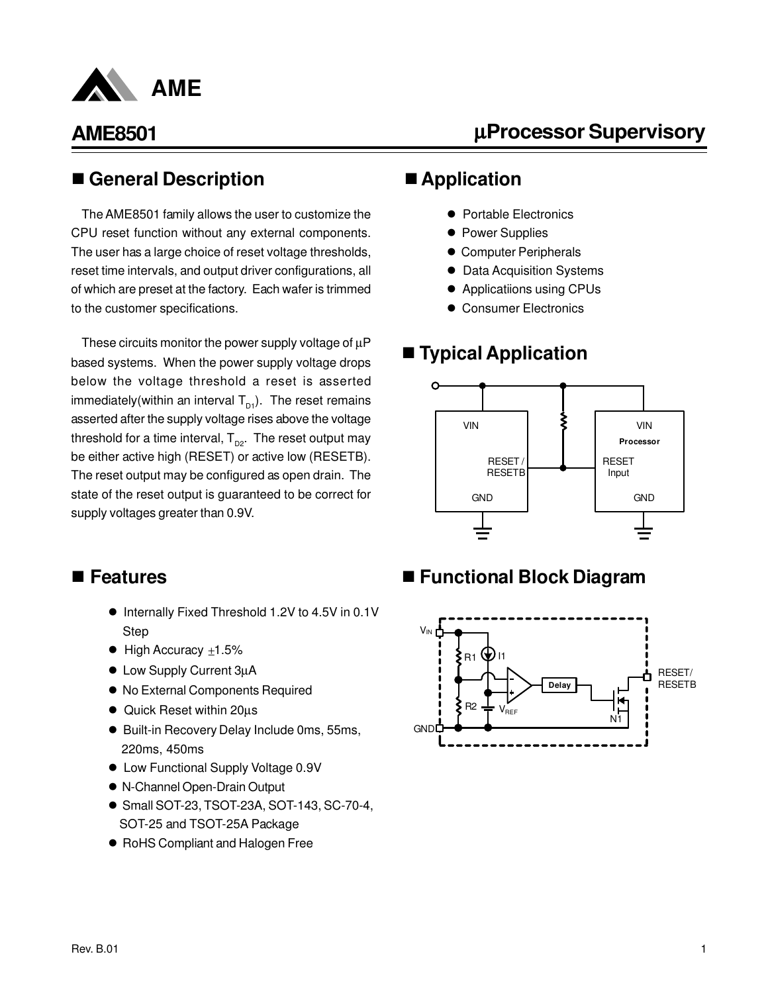

µ**Processor Supervisory**

#### n **General Description**

The AME8501 family allows the user to customize the CPU reset function without any external components. The user has a large choice of reset voltage thresholds, reset time intervals, and output driver configurations, all of which are preset at the factory. Each wafer is trimmed to the customer specifications.

These circuits monitor the power supply voltage of  $\mu$ P based systems. When the power supply voltage drops below the voltage threshold a reset is asserted immediately(within an interval  $T_{p1}$ ). The reset remains asserted after the supply voltage rises above the voltage threshold for a time interval,  $T_{\text{no}}$ . The reset output may be either active high (RESET) or active low (RESETB). The reset output may be configured as open drain. The state of the reset output is guaranteed to be correct for supply voltages greater than 0.9V.

### ■ Application

- Portable Electronics
- Power Supplies
- **Computer Peripherals**
- **Data Acquisition Systems**
- **•** Applicatiions using CPUs
- **Consumer Electronics**

### ■ **Typical Application**



#### ■ Features

- Internally Fixed Threshold 1.2V to 4.5V in 0.1V Step
- $\bullet$  High Accuracy  $\pm 1.5\%$
- Low Supply Current 3µA
- $\bullet$  No External Components Required
- Quick Reset within 20µs
- Built-in Recovery Delay Include 0ms, 55ms, 220ms, 450ms
- Low Functional Supply Voltage 0.9V
- l N-Channel Open-Drain Output
- Small SOT-23, TSOT-23A, SOT-143, SC-70-4, SOT-25 and TSOT-25A Package
- RoHS Compliant and Halogen Free

### ■ Functional Block Diagram

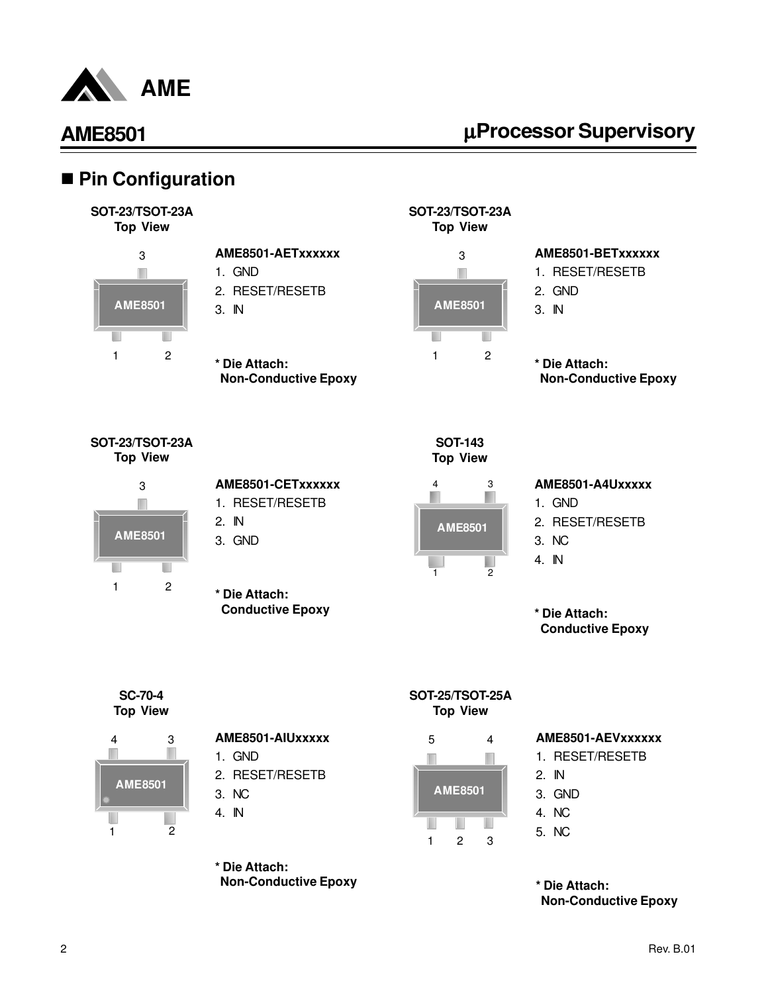

# µ**Processor Supervisory**

### ■ Pin Configuration





#### **AME8501-AETxxxxxx** 1. GND 2. RESET/RESETB

- 
- 3. IN
- **\* Die Attach: Non-Conductive Epoxy**





# **AME8501-BETxxxxxx**

- 1. RESET/RESETB
- 2. GND
- 3. IN
- **\* Die Attach: Non-Conductive Epoxy**

**SOT-23/TSOT-23A Top View**



| AME8501-CETxxxxxx |
|-------------------|
| 1. RESET/RESETB   |
| ווח ה             |

- 2. IN
- 3. GND
- **\* Die Attach: Conductive Epoxy**



#### 4 3 Ш в **AME8501** ٠  $\overline{1}$  2

#### **AME8501-A4Uxxxxx**

- 1. GND
- 2. RESET/RESETB
- 3. NC
- 4. IN

**\* Die Attach: Conductive Epoxy**

**SC-70-4 Top View**



#### **AME8501-AIUxxxxx**

- 1. GND
- 2. RESET/RESETB
- 3. NC
- 4. IN

**\* Die Attach: Non-Conductive Epoxy**





#### **AME8501-AEVxxxxxx**

- 1. RESET/RESETB
- 2. IN
- 3. GND
- 4. NC
- 5. NC

**\* Die Attach: Non-Conductive Epoxy**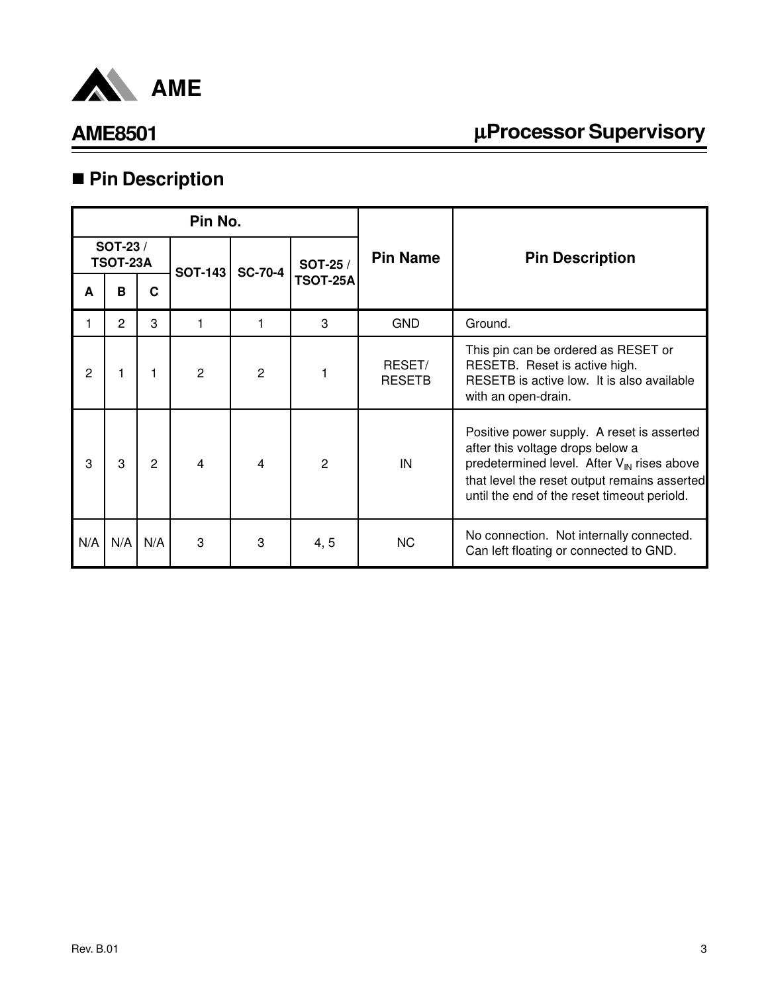

# µ**Processor Supervisory**

# n **Pin Description**

|     |                            |     | Pin No.        |                |                 |                         |                                                                                                                                                                                                                                         |
|-----|----------------------------|-----|----------------|----------------|-----------------|-------------------------|-----------------------------------------------------------------------------------------------------------------------------------------------------------------------------------------------------------------------------------------|
|     | SOT-23/<br><b>TSOT-23A</b> |     | <b>SOT-143</b> | <b>SC-70-4</b> | SOT-25 /        | <b>Pin Name</b>         | <b>Pin Description</b>                                                                                                                                                                                                                  |
| A   | B                          | C   |                |                | <b>TSOT-25A</b> |                         |                                                                                                                                                                                                                                         |
|     | 2                          | 3   |                |                | 3               | <b>GND</b>              | Ground.                                                                                                                                                                                                                                 |
| 2   |                            |     | $\overline{2}$ | $\overline{2}$ |                 | RESET/<br><b>RESETB</b> | This pin can be ordered as RESET or<br>RESETB. Reset is active high.<br>RESETB is active low. It is also available<br>with an open-drain.                                                                                               |
| 3   | 3                          | 2   | 4              | 4              | $\overline{2}$  | IN                      | Positive power supply. A reset is asserted<br>after this voltage drops below a<br>predetermined level. After V <sub>IN</sub> rises above<br>that level the reset output remains asserted<br>until the end of the reset timeout periold. |
| N/A | N/A                        | N/A | 3              | 3              | 4, 5            | NC.                     | No connection. Not internally connected.<br>Can left floating or connected to GND.                                                                                                                                                      |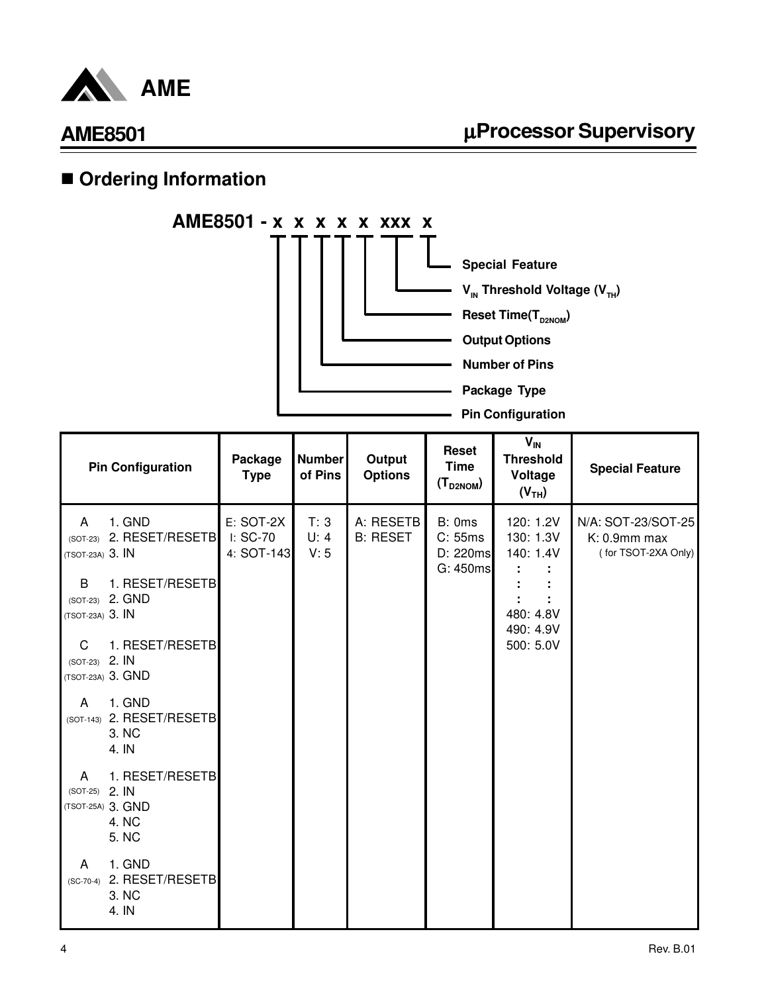

### ■ Ordering Information

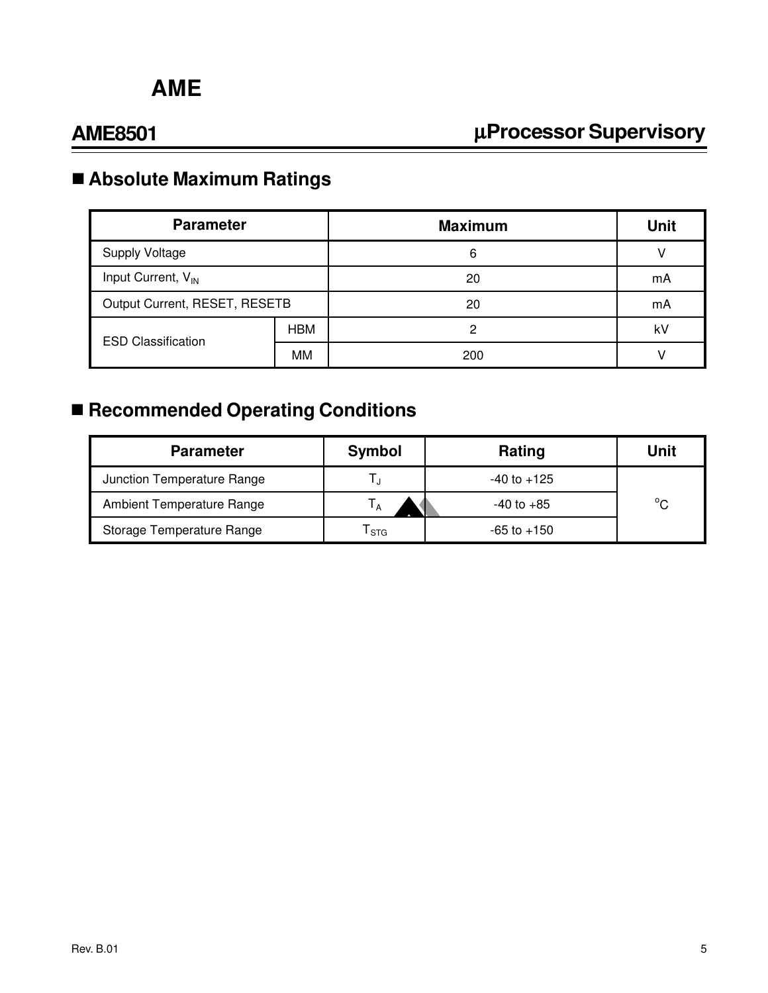# µ**Processor Supervisory**

# n **Absolute Maximum Ratings**

| <b>Parameter</b>               |            | <b>Maximum</b> | <b>Unit</b> |
|--------------------------------|------------|----------------|-------------|
| <b>Supply Voltage</b>          |            | 6              |             |
| Input Current, V <sub>IN</sub> |            | 20             | mA          |
| Output Current, RESET, RESETB  |            | 20             | mA          |
| <b>ESD Classification</b>      | <b>HBM</b> | 0              | kV          |
|                                | МM         | 200            |             |

# ■ Recommended Operating Conditions

| <b>Parameter</b>                 | Symbol           | Rating          | Unit         |
|----------------------------------|------------------|-----------------|--------------|
| Junction Temperature Range       |                  | $-40$ to $+125$ |              |
| <b>Ambient Temperature Range</b> |                  | $-40$ to $+85$  | $^{\circ}$ C |
| Storage Temperature Range        | <sup>I</sup> STG | $-65$ to $+150$ |              |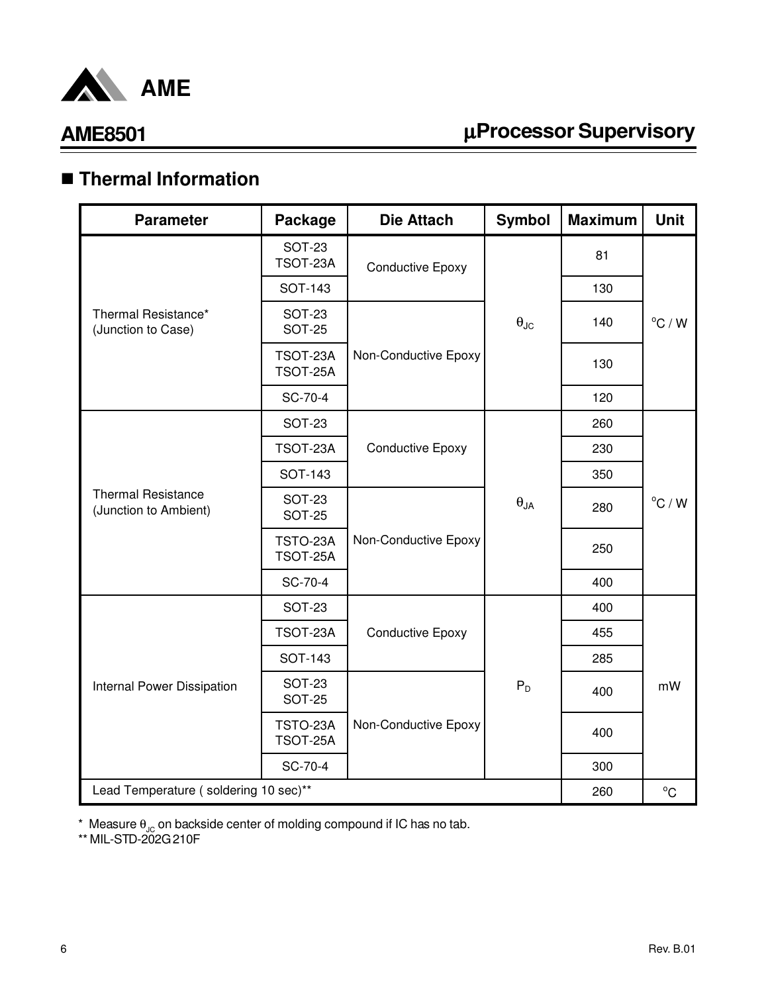

# µ**Processor Supervisory**

# n **Thermal Information**

| <b>Parameter</b>                                   | Package                        | <b>Die Attach</b>       | <b>Symbol</b>                       | <b>Maximum</b> | <b>Unit</b>      |
|----------------------------------------------------|--------------------------------|-------------------------|-------------------------------------|----------------|------------------|
|                                                    | <b>SOT-23</b><br>TSOT-23A      | <b>Conductive Epoxy</b> |                                     | 81             |                  |
|                                                    | <b>SOT-143</b>                 |                         |                                     | 130            |                  |
| Thermal Resistance*<br>(Junction to Case)          | <b>SOT-23</b><br><b>SOT-25</b> |                         | $\boldsymbol{\theta}_\text{JC}$     | 140            | $^{\circ}$ C / W |
|                                                    | TSOT-23A<br>TSOT-25A           | Non-Conductive Epoxy    |                                     | 130            |                  |
|                                                    | SC-70-4                        |                         |                                     | 120            |                  |
|                                                    | <b>SOT-23</b>                  |                         |                                     | 260            |                  |
|                                                    | TSOT-23A                       | <b>Conductive Epoxy</b> | $\boldsymbol{\theta}_{\mathsf{JA}}$ | 230            | $^{\circ}$ C / W |
|                                                    | <b>SOT-143</b>                 |                         |                                     | 350            |                  |
| <b>Thermal Resistance</b><br>(Junction to Ambient) | <b>SOT-23</b><br><b>SOT-25</b> |                         |                                     | 280            |                  |
|                                                    | TSTO-23A<br>TSOT-25A           | Non-Conductive Epoxy    |                                     | 250            |                  |
|                                                    | SC-70-4                        |                         |                                     | 400            |                  |
|                                                    | <b>SOT-23</b>                  |                         |                                     | 400            |                  |
|                                                    | TSOT-23A                       | <b>Conductive Epoxy</b> |                                     | 455            |                  |
|                                                    | <b>SOT-143</b>                 |                         |                                     | 285            |                  |
| Internal Power Dissipation                         | <b>SOT-23</b><br><b>SOT-25</b> |                         | $P_D$                               | 400            | mW               |
|                                                    | TSTO-23A<br>TSOT-25A           | Non-Conductive Epoxy    |                                     | 400            |                  |
|                                                    | SC-70-4                        |                         |                                     | 300            |                  |
| Lead Temperature (soldering 10 sec)**              |                                |                         |                                     | 260            | $^{\circ}$ C     |

 $^*$  Measure  $\theta_{\text{JC}}$  on backside center of molding compound if IC has no tab.

\*\* MIL-STD-202G 210F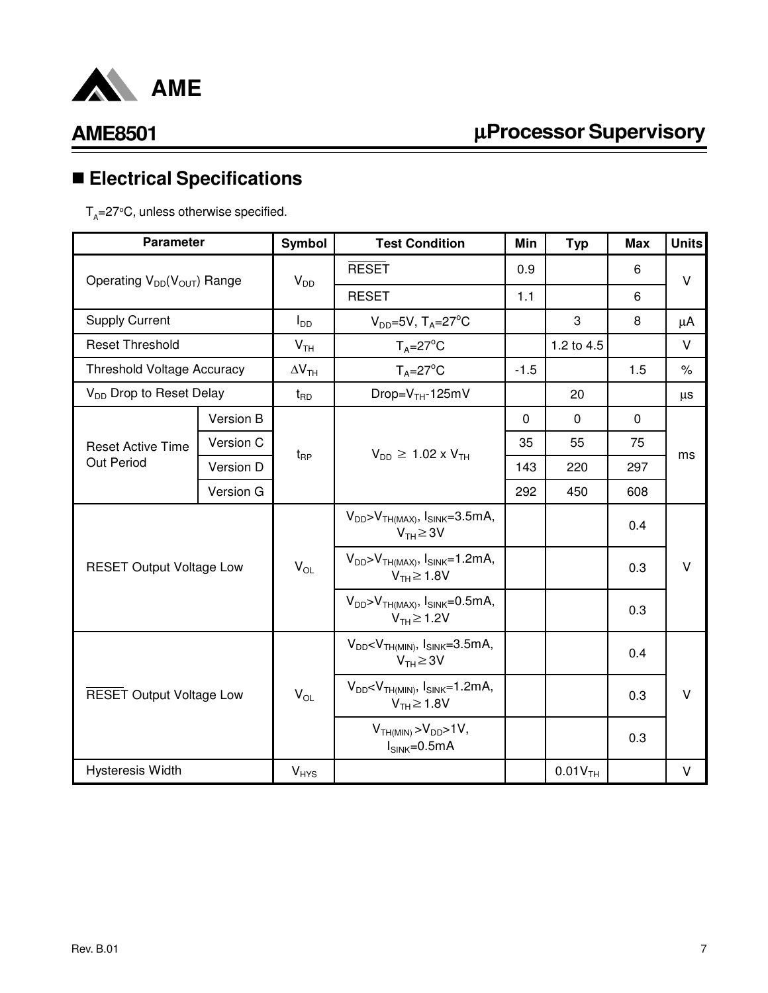

# n **Electrical Specifications**

 $T_{\rm A}$ =27°C, unless otherwise specified.

| <b>Parameter</b>                    |           | Symbol                   | <b>Test Condition</b>                                              | Min         | <b>Typ</b>            | <b>Max</b>  | <b>Units</b> |  |
|-------------------------------------|-----------|--------------------------|--------------------------------------------------------------------|-------------|-----------------------|-------------|--------------|--|
| Operating $V_{DD}(V_{OUT})$ Range   |           | $V_{DD}$                 | <b>RESET</b>                                                       | 0.9         |                       | 6           | $\vee$       |  |
|                                     |           |                          | <b>RESET</b>                                                       | 1.1         |                       | 6           |              |  |
| <b>Supply Current</b>               |           | $I_{DD}$                 | $V_{DD}$ =5V, T <sub>A</sub> =27 <sup>°</sup> C                    |             | 3                     | 8           | μA           |  |
| <b>Reset Threshold</b>              |           | V <sub>TH</sub>          | $T_A = 27^{\circ}C$                                                |             | 1.2 to 4.5            |             | V            |  |
| <b>Threshold Voltage Accuracy</b>   |           | $\Delta V$ <sub>TH</sub> | $T_A = 27^\circ C$                                                 | $-1.5$      |                       | 1.5         | $\%$         |  |
| V <sub>DD</sub> Drop to Reset Delay |           | $t_{\mathsf{RD}}$        | Drop= $VTH$ -125mV                                                 |             | 20                    |             | μs           |  |
|                                     | Version B |                          |                                                                    | $\mathbf 0$ | $\mathbf 0$           | $\mathbf 0$ |              |  |
| <b>Reset Active Time</b>            | Version C | $t_{\mathsf{RP}}$        | $V_{DD} \ge 1.02 \times V_{TH}$                                    | 35          | 55                    | 75          | ms           |  |
| Out Period                          | Version D |                          |                                                                    | 143         | 220                   | 297         |              |  |
|                                     | Version G |                          |                                                                    | 292         | 450                   | 608         |              |  |
|                                     |           |                          | $V_{DD} > V_{TH(MAX)}$ , $I_{SINK} = 3.5mA$ ,<br>$V_{TH} \geq 3V$  |             |                       | 0.4         |              |  |
| <b>RESET Output Voltage Low</b>     |           | $V_{OL}$                 | $V_{DD} > V_{TH(MAX)}$ , $I_{SINK} = 1.2mA$ ,<br>$V_{TH} \ge 1.8V$ |             |                       | 0.3         | v            |  |
|                                     |           |                          | $V_{DD} > V_{TH(MAX)}$ , $I_{SINK} = 0.5mA$ ,<br>$V_{TH} \ge 1.2V$ |             |                       | 0.3         |              |  |
|                                     |           |                          | $V_{DD}$ < $V_{TH(MIN)}$ , $I_{SINK}$ =3.5mA,<br>$V_{TH} \geq 3V$  |             |                       | 0.4         |              |  |
| <b>RESET Output Voltage Low</b>     |           | $V_{OL}$                 | $V_{DD}$ < $V_{TH(MIN)}$ , $I_{SINK}$ =1.2mA,<br>$V_{TH} \ge 1.8V$ |             |                       | 0.3         | $\vee$       |  |
|                                     |           |                          | $VTH(MIN) > VDD > 1V,$<br>$I_{SINK}=0.5mA$                         |             |                       | 0.3         |              |  |
| Hysteresis Width                    |           | <b>V<sub>HYS</sub></b>   |                                                                    |             | $0.01V$ <sub>TH</sub> |             | V            |  |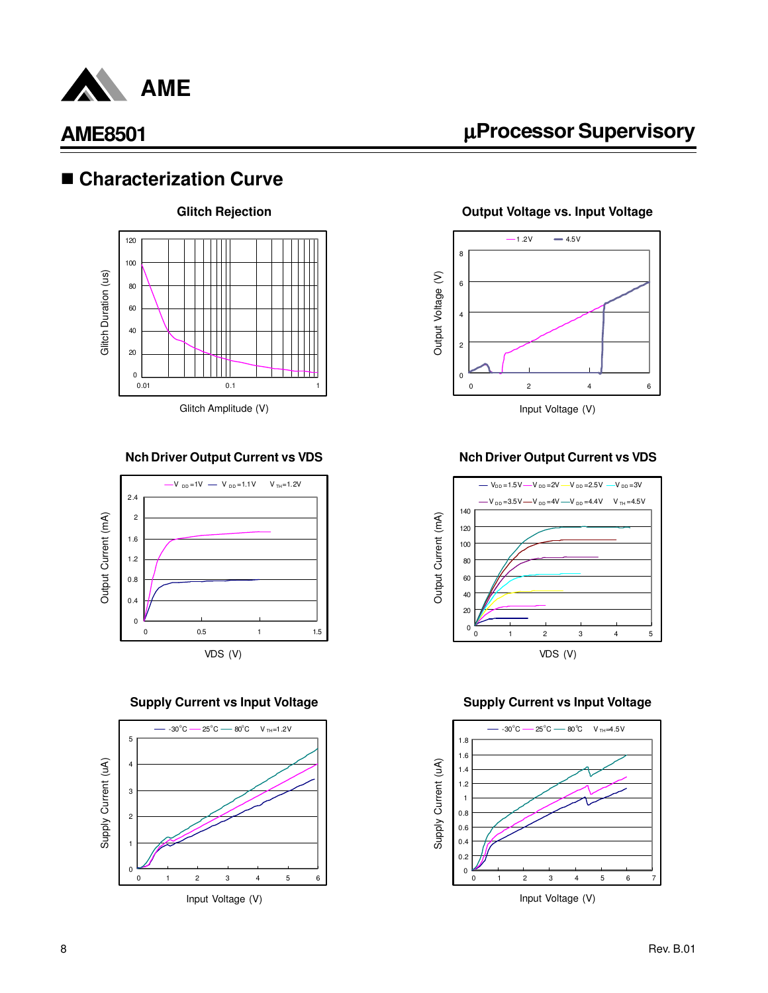

### ■ Characterization Curve



#### **Nch Driver Output Current vs VDS**



**Supply Current vs Input Voltage**



µ**Processor Supervisory**

**Output Voltage vs. Input Voltage**



#### **Nch Driver Output Current vs VDS**



#### **Supply Current vs Input Voltage**

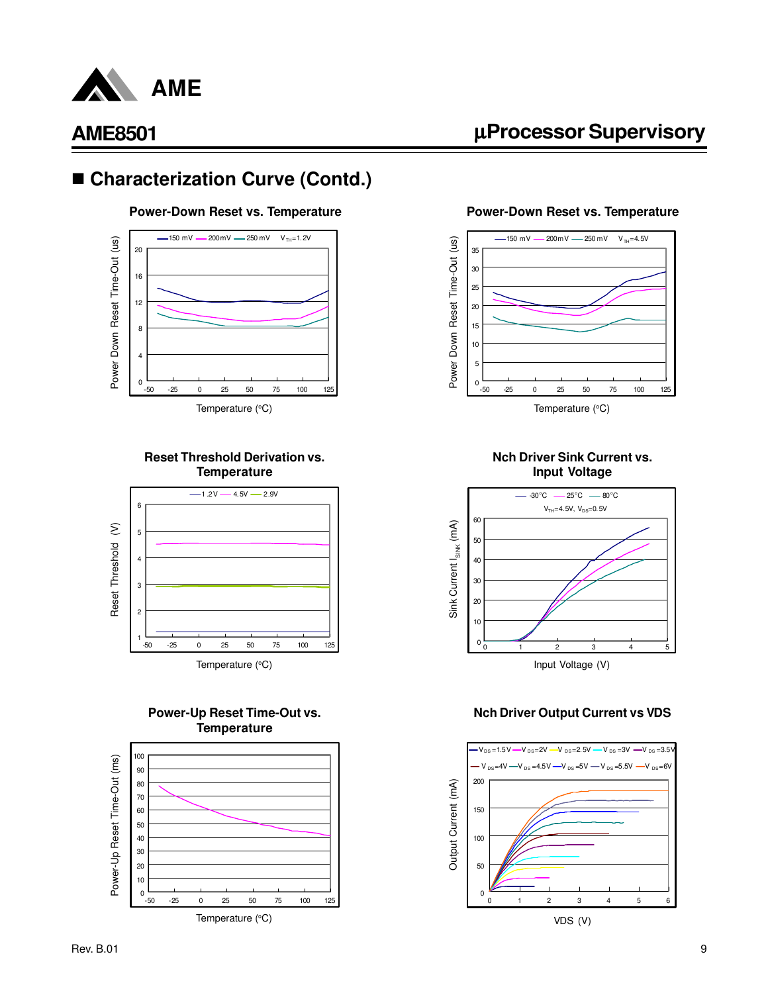

## ■ Characterization Curve (Contd.)

#### **Power-Down Reset vs. Temperature**



#### **Reset Threshold Derivation vs. Temperature**



#### **Power-Up Reset Time-Out vs. Temperature**



µ**Processor Supervisory**

#### **Power-Down Reset vs. Temperature**



**Nch Driver Sink Current vs.**



#### **Nch Driver Output Current vs VDS**

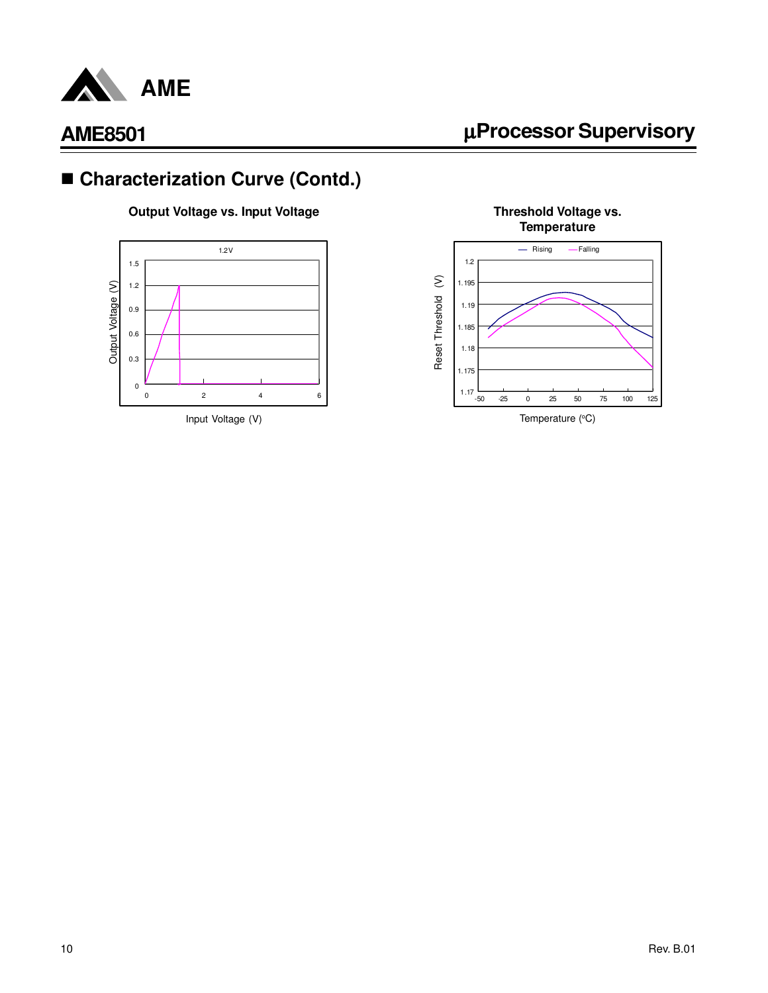

# µ**Processor Supervisory**

# ■ Characterization Curve (Contd.)

#### **Output Voltage vs. Input Voltage**





**Threshold Voltage vs. Temperature**

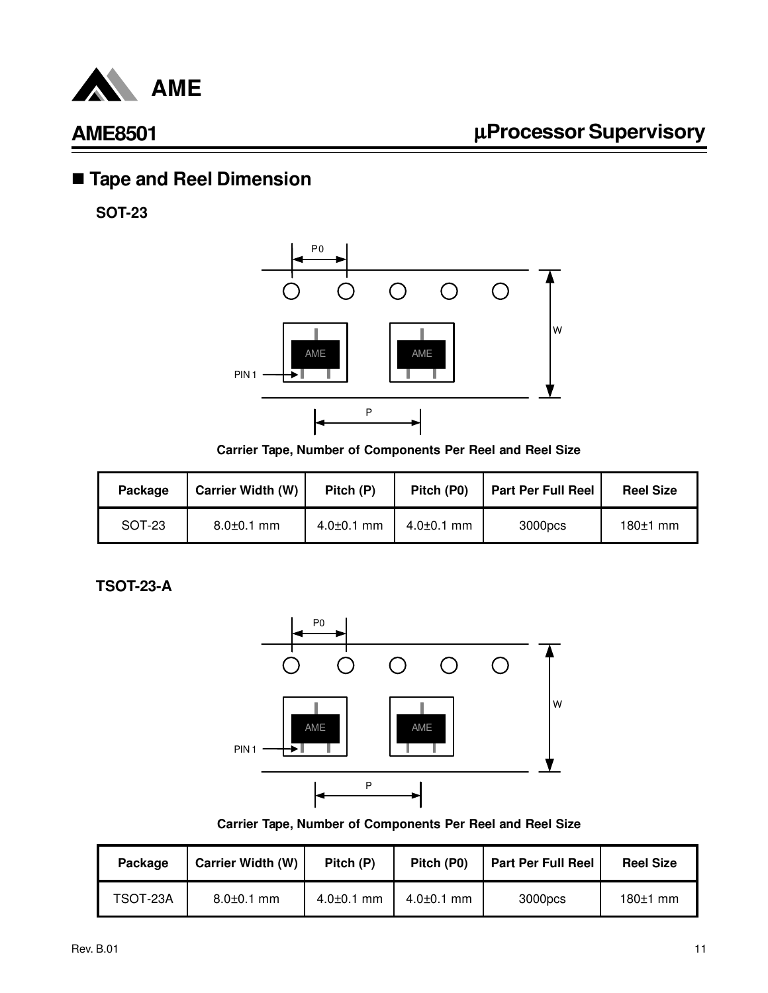

# n **Tape and Reel Dimension**

**SOT-23**



**Carrier Tape, Number of Components Per Reel and Reel Size**

| Package | <b>Carrier Width (W)</b> | Pitch (P)        | Pitch (P0)       | <b>Part Per Full Reel</b> | <b>Reel Size</b> |
|---------|--------------------------|------------------|------------------|---------------------------|------------------|
| SOT-23  | $8.0 \pm 0.1$ mm         | $4.0{\pm}0.1$ mm | $4.0{\pm}0.1$ mm | 3000pcs                   | $180±1$ mm       |

**TSOT-23-A**



**Carrier Tape, Number of Components Per Reel and Reel Size**

| Package  | <b>Carrier Width (W)</b> | Pitch (P)        | Pitch (P0)       | <b>Part Per Full Reel</b> | <b>Reel Size</b> |
|----------|--------------------------|------------------|------------------|---------------------------|------------------|
| TSOT-23A | $8.0 \pm 0.1$ mm         | $4.0 \pm 0.1$ mm | $4.0 \pm 0.1$ mm | 3000pcs                   | $180±1$ mm       |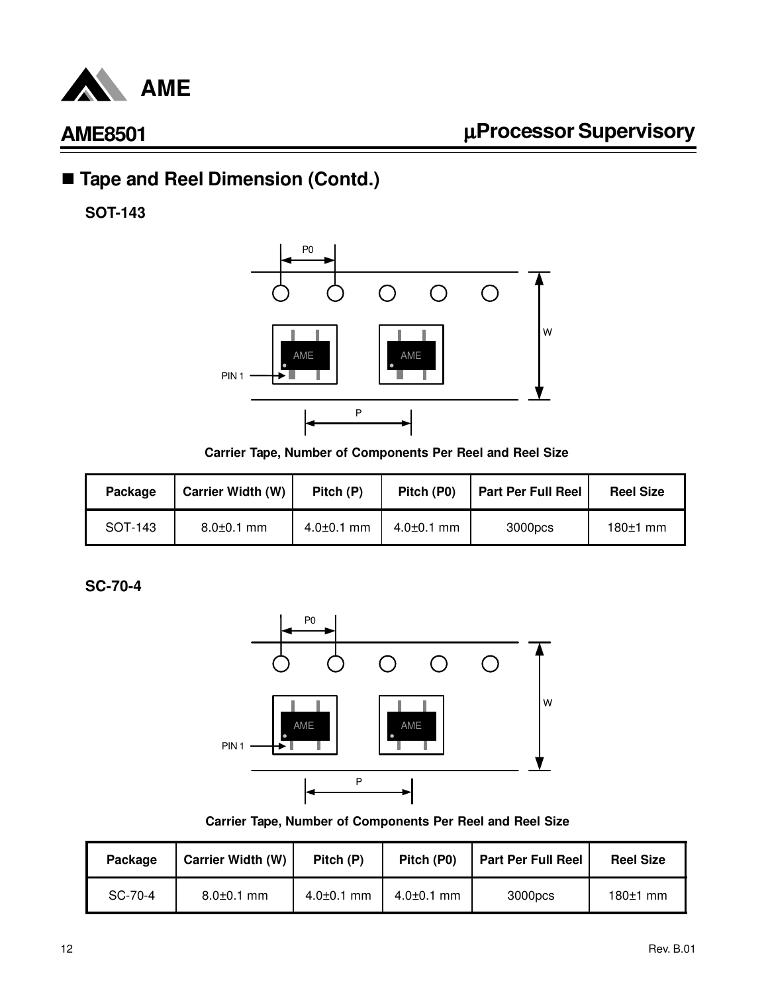

# ■ Tape and Reel Dimension (Contd.)

**SOT-143**



**Carrier Tape, Number of Components Per Reel and Reel Size**

| Package | <b>Carrier Width (W)</b> | Pitch (P)        | Pitch (P0)       | <b>Part Per Full Reel</b> | <b>Reel Size</b> |
|---------|--------------------------|------------------|------------------|---------------------------|------------------|
| SOT-143 | $8.0 \pm 0.1$ mm         | $4.0{\pm}0.1$ mm | $4.0{\pm}0.1$ mm | 3000pcs                   | $180±1$ mm       |

**SC-70-4**



**Carrier Tape, Number of Components Per Reel and Reel Size**

| Package | <b>Carrier Width (W)</b> | Pitch (P)        | Pitch (P0)       | <b>Part Per Full Reel</b> | <b>Reel Size</b> |
|---------|--------------------------|------------------|------------------|---------------------------|------------------|
| SC-70-4 | $8.0 \pm 0.1$ mm         | $4.0 \pm 0.1$ mm | $4.0{\pm}0.1$ mm | 3000pcs                   | $180±1$ mm       |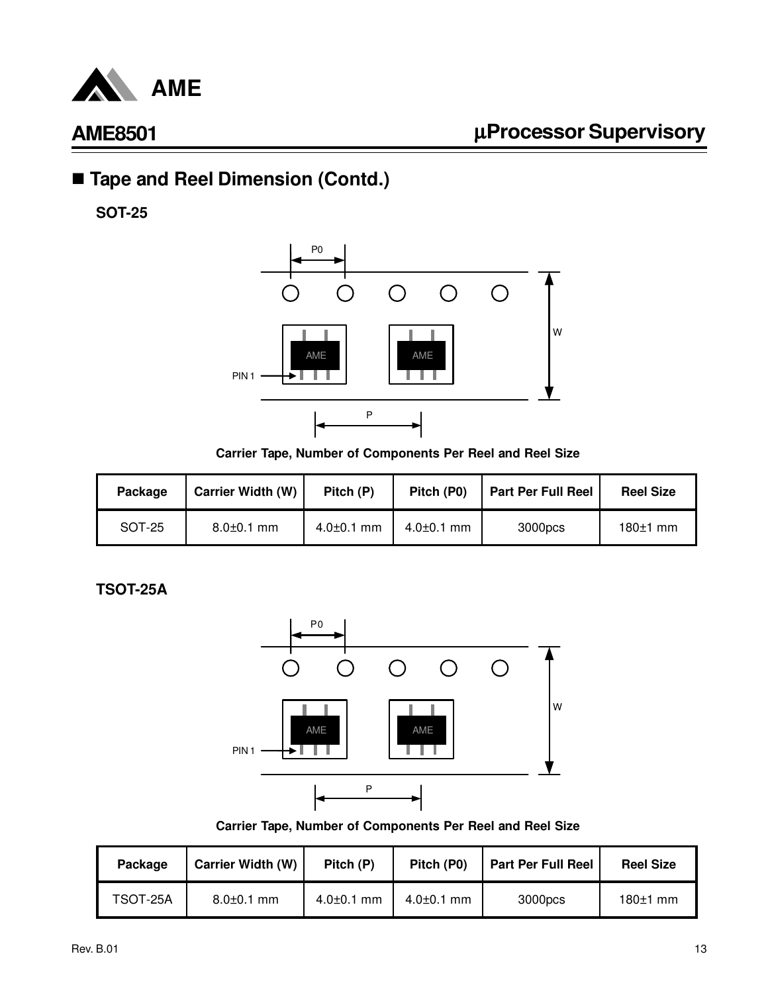

# ■ Tape and Reel Dimension (Contd.)

**SOT-25**



**Carrier Tape, Number of Components Per Reel and Reel Size**

| Package | <b>Carrier Width (W)</b> | Pitch (P)        | Pitch (P0)       | <b>Part Per Full Reel</b> | <b>Reel Size</b> |
|---------|--------------------------|------------------|------------------|---------------------------|------------------|
| SOT-25  | $8.0 \pm 0.1$ mm         | $4.0{\pm}0.1$ mm | $4.0{\pm}0.1$ mm | 3000pcs                   | $180±1$ mm       |

**TSOT-25A**



**Carrier Tape, Number of Components Per Reel and Reel Size**

| Package  | <b>Carrier Width (W)</b> | Pitch (P)        | Pitch (P0)       | <b>Part Per Full Reel</b> | <b>Reel Size</b> |
|----------|--------------------------|------------------|------------------|---------------------------|------------------|
| TSOT-25A | $8.0 \pm 0.1$ mm         | $4.0 \pm 0.1$ mm | $4.0{\pm}0.1$ mm | 3000pcs                   | $180±1$ mm       |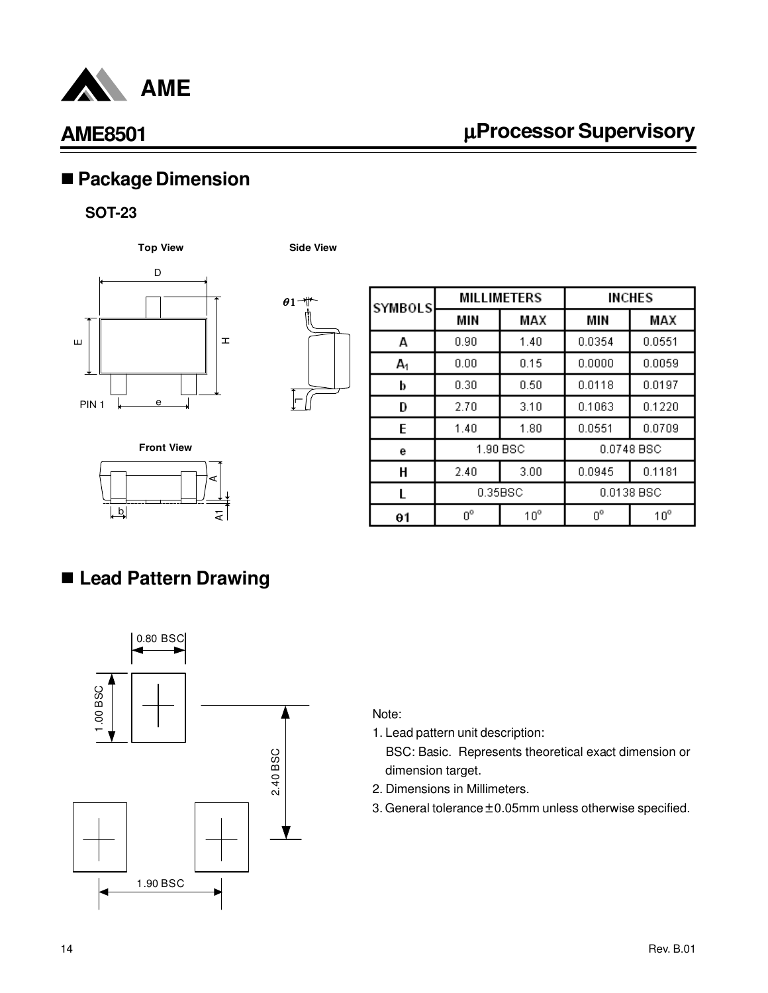

# µ**Processor Supervisory**

# n **Package Dimension**

#### **SOT-23**

**Top View Side View**





| <b>SYMBOLS</b> | <b>MILLIMETERS</b> |              | <b>INCHES</b> |              |
|----------------|--------------------|--------------|---------------|--------------|
|                | MIN                | MAX          | MIN           | MAX          |
| A              | 0.90               | 1.40         | 0.0354        | 0.0551       |
| A <sub>1</sub> | 0.00               | 0.15         | 0.0000        | 0.0059       |
| b              | 0.30               | 0.50         | 0.0118        | 0.0197       |
| D              | 2.70               | 3.10         | 0.1063        | 0.1220       |
| E              | 1.40               | 1.80         | 0.0551        | 0.0709       |
| е              | 1.90 BSC           |              |               | 0.0748 BSC   |
| H              | 2.40               | 3.00         | 0.0945        | 0.1181       |
| L              | 0.35BSC            |              |               | 0.0138 BSC   |
| θ1             | 0°                 | $10^{\circ}$ | $0^{\circ}$   | $10^{\circ}$ |



# n **Lead Pattern Drawing**



#### Note:

1. Lead pattern unit description:

- 2. Dimensions in Millimeters.
- 3. General tolerance  $\pm$  0.05mm unless otherwise specified.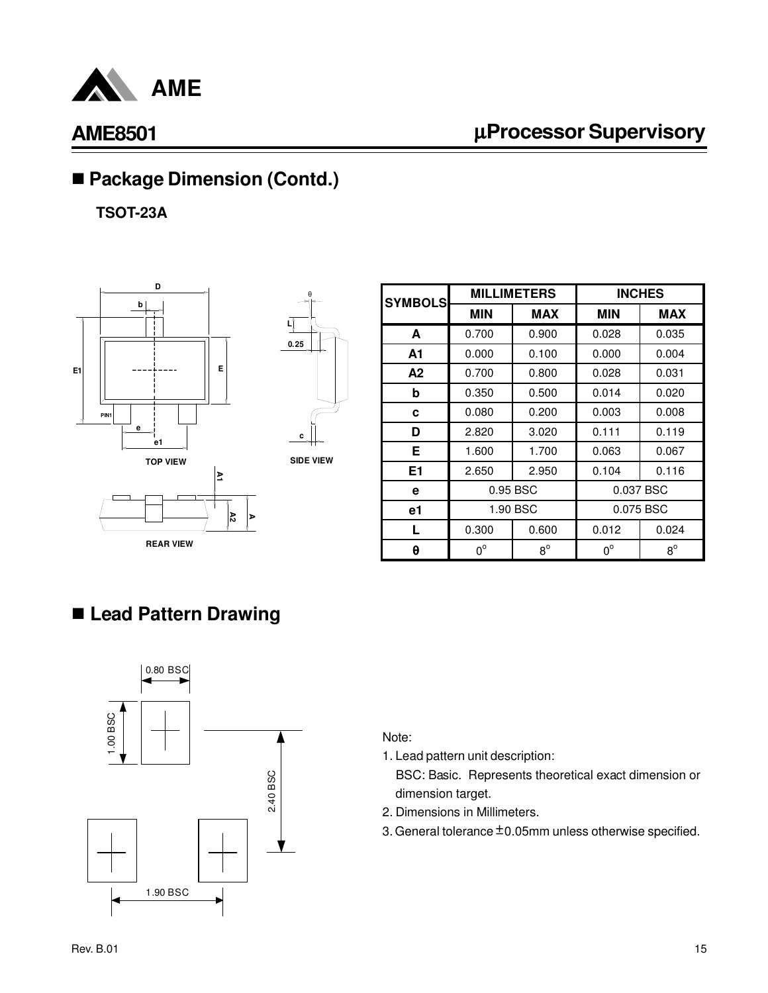

# µ**Processor Supervisory**

# ■ Package Dimension (Contd.)

**TSOT-23A**





θ

**SIDE VIEW**

| <b>SYMBOLS</b> | <b>MILLIMETERS</b> |             | <b>INCHES</b> |             |
|----------------|--------------------|-------------|---------------|-------------|
|                | <b>MIN</b>         | <b>MAX</b>  | <b>MIN</b>    | <b>MAX</b>  |
| A              | 0.700              | 0.900       | 0.028         | 0.035       |
| A1             | 0.000              | 0.100       | 0.000         | 0.004       |
| A2             | 0.700              | 0.800       | 0.028         | 0.031       |
| b              | 0.350              | 0.500       | 0.014         | 0.020       |
| c              | 0.080              | 0.200       | 0.003         | 0.008       |
| D              | 2.820              | 3.020       | 0.111         | 0.119       |
| Е              | 1.600              | 1.700       | 0.063         | 0.067       |
| E <sub>1</sub> | 2.650              | 2.950       | 0.104         | 0.116       |
| е              | 0.95 BSC           |             |               | 0.037 BSC   |
| e1             | 1.90 BSC           |             | 0.075 BSC     |             |
| L              | 0.300              | 0.600       | 0.012         | 0.024       |
| θ              | $0^{\circ}$        | $8^{\circ}$ | $0^{\circ}$   | $8^{\circ}$ |

## n **Lead Pattern Drawing**



#### Note:

1. Lead pattern unit description:

- 2. Dimensions in Millimeters.
- 3. General tolerance  $\pm$  0.05mm unless otherwise specified.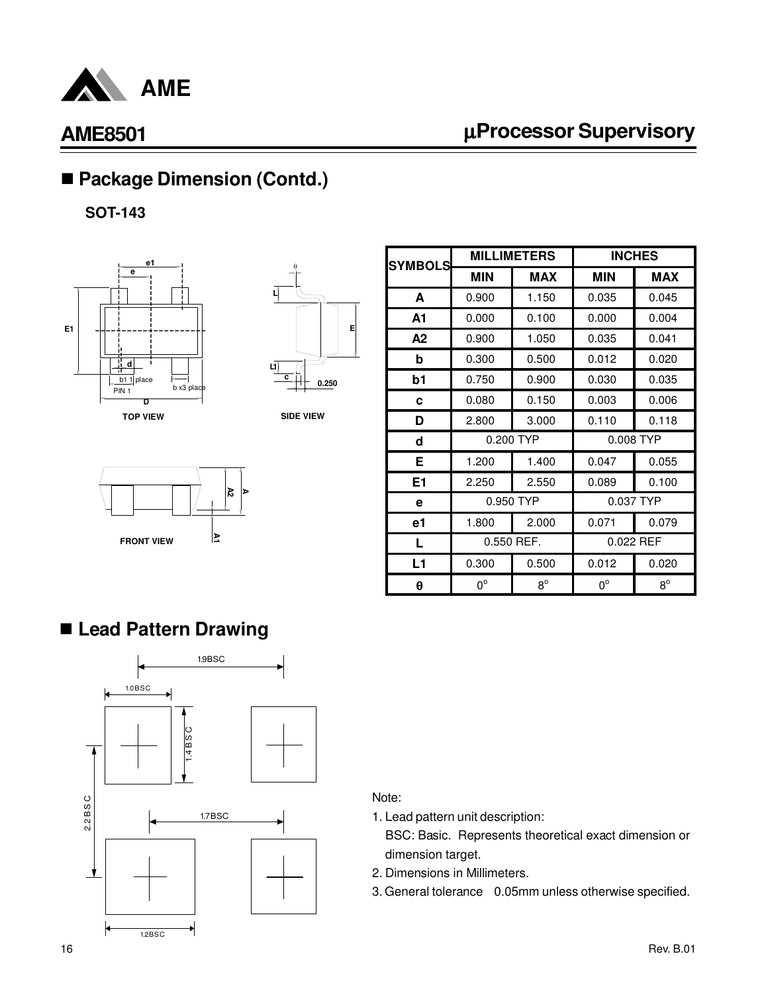

# µ**Processor Supervisory**

# ■ Package Dimension (Contd.)

**SOT-143**





**SIDE VIEW**



| <b>SYMBOLS</b> | <b>MILLIMETERS</b> |             | <b>INCHES</b> |             |
|----------------|--------------------|-------------|---------------|-------------|
|                | <b>MIN</b>         | <b>MAX</b>  | <b>MIN</b>    | <b>MAX</b>  |
| A              | 0.900              | 1.150       | 0.035         | 0.045       |
| A1             | 0.000              | 0.100       | 0.000         | 0.004       |
| A2             | 0.900              | 1.050       | 0.035         | 0.041       |
| b              | 0.300              | 0.500       | 0.012         | 0.020       |
| b1             | 0.750              | 0.900       | 0.030         | 0.035       |
| C              | 0.080              | 0.150       | 0.003         | 0.006       |
| D              | 2.800              | 3.000       | 0.110         | 0.118       |
| d              | 0.200 TYP          |             | 0.008 TYP     |             |
| Е              | 1.200              | 1.400       | 0.047         | 0.055       |
| E <sub>1</sub> | 2.250              | 2.550       | 0.089         | 0.100       |
| е              | 0.950 TYP          |             | 0.037 TYP     |             |
| e1             | 1.800              | 2.000       | 0.071         | 0.079       |
| L              | 0.550 REF.         |             | 0.022 REF     |             |
| L1             | 0.300              | 0.500       | 0.012         | 0.020       |
| θ              | $0^{\circ}$        | $8^{\circ}$ | $0^{\circ}$   | $8^{\circ}$ |

## n **Lead Pattern Drawing**



#### Note:

- 1. Lead pattern unit description:
- BSC: Basic. Represents theoretical exact dimension or dimension target.
- 2. Dimensions in Millimeters.
- 3. General tolerance 0.05mm unless otherwise specified.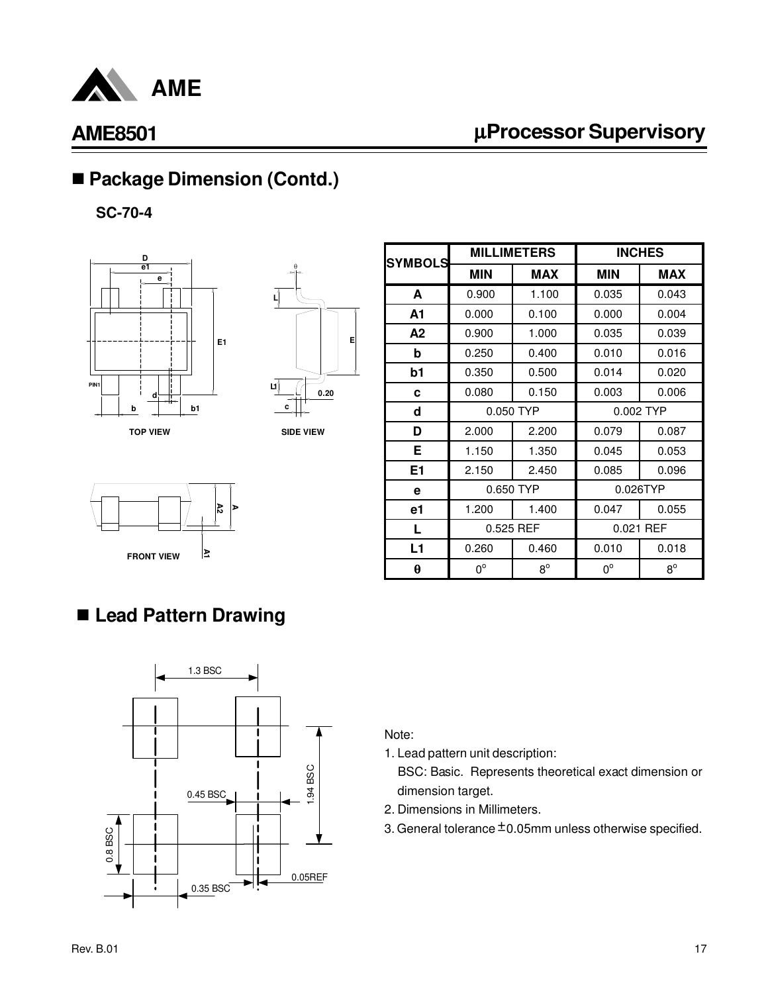

# µ**Processor Supervisory**

# ■ Package Dimension (Contd.)

**SC-70-4**





**SIDE VIEW**



| <b>SYMBOLS</b> | <b>MILLIMETERS</b> |             | <b>INCHES</b> |             |
|----------------|--------------------|-------------|---------------|-------------|
|                | <b>MIN</b>         | <b>MAX</b>  | <b>MIN</b>    | <b>MAX</b>  |
| A              | 0.900              | 1.100       | 0.035         | 0.043       |
| A1             | 0.000              | 0.100       | 0.000         | 0.004       |
| A2             | 0.900              | 1.000       | 0.035         | 0.039       |
| b              | 0.250              | 0.400       | 0.010         | 0.016       |
| b1             | 0.350              | 0.500       | 0.014         | 0.020       |
| c              | 0.080              | 0.150       | 0.003         | 0.006       |
| d              | 0.050 TYP          |             | 0.002 TYP     |             |
| D              | 2.000              | 2.200       | 0.079         | 0.087       |
| Е              | 1.150              | 1.350       | 0.045         | 0.053       |
| E <sub>1</sub> | 2.150              | 2.450       | 0.085         | 0.096       |
| e              | 0.650 TYP          |             | 0.026TYP      |             |
| e1             | 1.200              | 1.400       | 0.047         | 0.055       |
| L              | 0.525 REF          |             | 0.021 REF     |             |
| L1             | 0.260              | 0.460       | 0.010         | 0.018       |
| θ              | $0^{\circ}$        | $8^{\circ}$ | $0^{\circ}$   | $8^{\circ}$ |

# n **Lead Pattern Drawing**



Note:

1. Lead pattern unit description:

- 2. Dimensions in Millimeters.
- 3. General tolerance  $\pm$  0.05mm unless otherwise specified.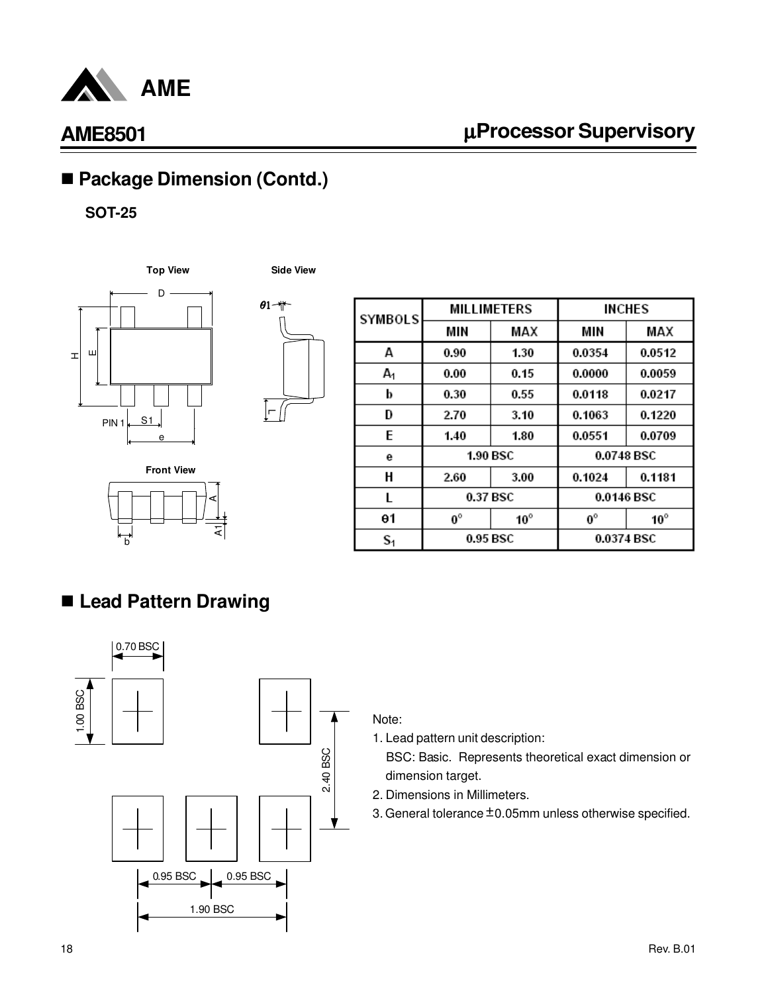

# µ**Processor Supervisory**

# ■ Package Dimension (Contd.)

#### **SOT-25**







| <b>Front View</b> |
|-------------------|
|                   |

| SYMBOLS | <b>MILLIMETERS</b> |              | <b>INCHES</b> |              |
|---------|--------------------|--------------|---------------|--------------|
|         | MIN                | MAX          | MIN           | MAX          |
| A       | 0.90               | 1.30         | 0.0354        | 0.0512       |
| А,      | 0.00               | 0.15         | 0.0000        | 0.0059       |
| b       | 0.30               | 0.55         | 0.0118        | 0.0217       |
| D       | 2.70               | 3.10         | 0.1063        | 0.1220       |
| E       | 1.40               | 1.80         | 0.0551        | 0.0709       |
| е       | <b>1.90 BSC</b>    |              | 0.0748 BSC    |              |
| Н       | 2.60               | 3.00         | 0.1024        | 0.1181       |
| L       | 0.37 BSC           |              | 0.0146 BSC    |              |
| θ1      | $0^{\circ}$        | $10^{\circ}$ | $0^{\circ}$   | $10^{\circ}$ |
| $S_1$   | 0.95 BSC           |              | 0.0374 BSC    |              |

# n **Lead Pattern Drawing**



#### Note:

1. Lead pattern unit description:

- 2. Dimensions in Millimeters.
- 3. General tolerance  $\pm$  0.05mm unless otherwise specified.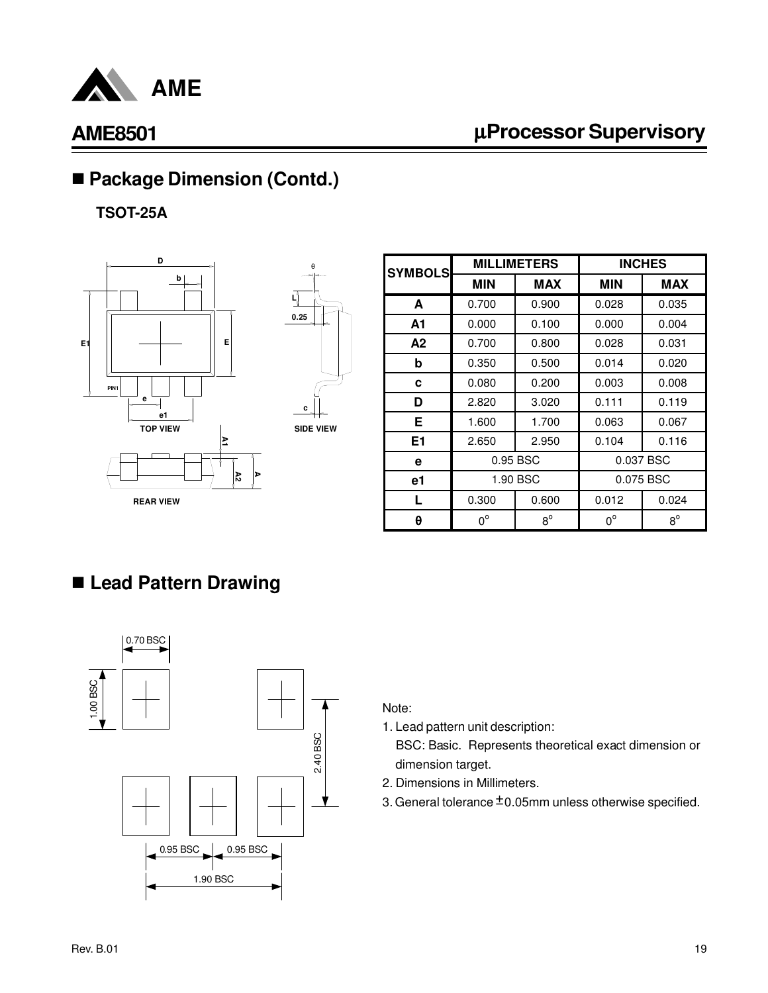

# µ**Processor Supervisory**

# ■ Package Dimension (Contd.)

**TSOT-25A**



| <b>SYMBOLS</b> | <b>MILLIMETERS</b> |             | <b>INCHES</b> |             |
|----------------|--------------------|-------------|---------------|-------------|
|                | <b>MIN</b>         | MAX         | <b>MIN</b>    | MAX         |
| A              | 0.700              | 0.900       | 0.028         | 0.035       |
| A1             | 0.000              | 0.100       | 0.000         | 0.004       |
| A2             | 0.700              | 0.800       | 0.028         | 0.031       |
| b              | 0.350              | 0.500       | 0.014         | 0.020       |
| c              | 0.080              | 0.200       | 0.003         | 0.008       |
| D              | 2.820              | 3.020       | 0.111         | 0.119       |
| Е              | 1.600              | 1.700       | 0.063         | 0.067       |
| E1             | 2.650              | 2.950       | 0.104         | 0.116       |
| е              | 0.95 BSC           |             | 0.037 BSC     |             |
| е1             | 1.90 BSC           |             | 0.075 BSC     |             |
|                | 0.300              | 0.600       | 0.012         | 0.024       |
| θ              | $0^{\circ}$        | $8^{\circ}$ | $0^{\circ}$   | $8^{\circ}$ |

# n **Lead Pattern Drawing**



#### Note:

- 1. Lead pattern unit description:
	- BSC: Basic. Represents theoretical exact dimension or dimension target.
- 2. Dimensions in Millimeters.
- 3. General tolerance  $\pm$  0.05mm unless otherwise specified.